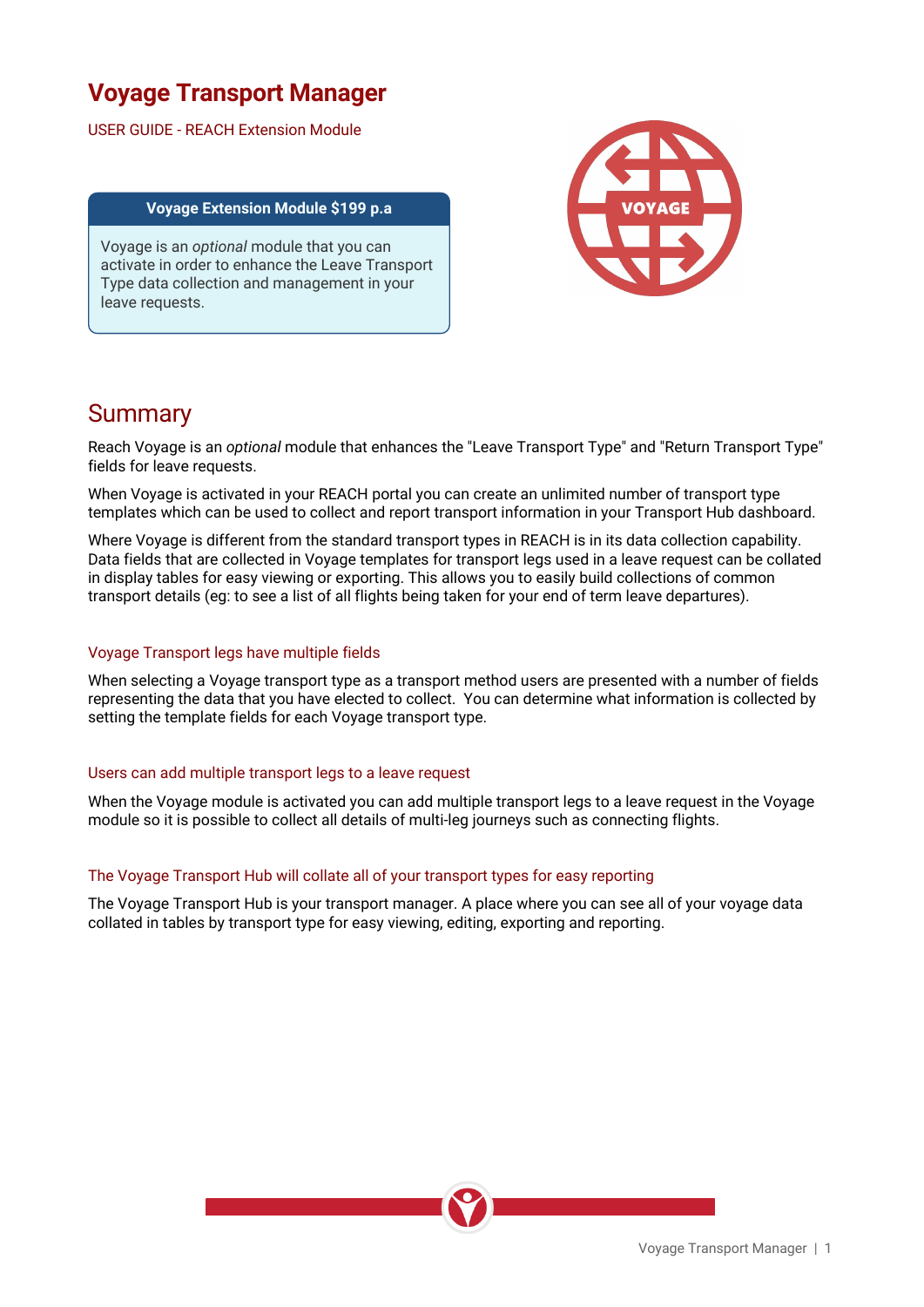# **Voyage Transport Manager**

USER GUIDE - REACH Extension Module

#### **Voyage Extension Module \$199 p.a**

Voyage is an *optional* module that you can activate in order to enhance the Leave Transport Type data collection and management in your leave requests.



### **Summary**

Reach Voyage is an *optional* module that enhances the "Leave Transport Type" and "Return Transport Type" fields for leave requests.

When Voyage is activated in your REACH portal you can create an unlimited number of transport type templates which can be used to collect and report transport information in your Transport Hub dashboard.

Where Voyage is different from the standard transport types in REACH is in its data collection capability. Data fields that are collected in Voyage templates for transport legs used in a leave request can be collated in display tables for easy viewing or exporting. This allows you to easily build collections of common transport details (eg: to see a list of all flights being taken for your end of term leave departures).

### Voyage Transport legs have multiple fields

When selecting a Voyage transport type as a transport method users are presented with a number of fields representing the data that you have elected to collect. You can determine what information is collected by setting the template fields for each Voyage transport type.

#### Users can add multiple transport legs to a leave request

When the Voyage module is activated you can add multiple transport legs to a leave request in the Voyage module so it is possible to collect all details of multi-leg journeys such as connecting flights.

#### The Voyage Transport Hub will collate all of your transport types for easy reporting

The Voyage Transport Hub is your transport manager. A place where you can see all of your voyage data collated in tables by transport type for easy viewing, editing, exporting and reporting.

Voyage Transport Manager | 1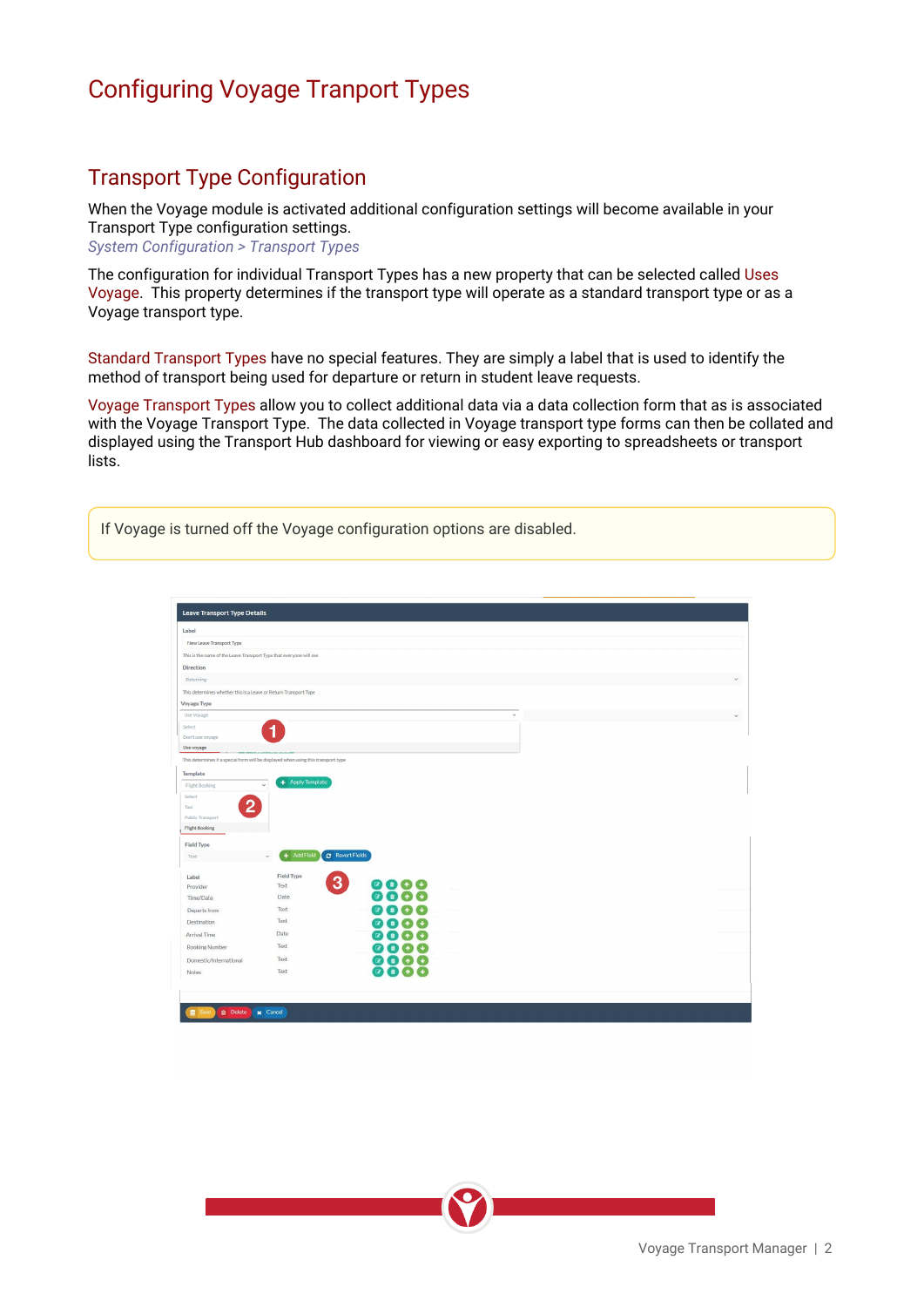# Configuring Voyage Tranport Types

### Transport Type Configuration

When the Voyage module is activated additional configuration settings will become available in your Transport Type configuration settings. *System Configuration > Transport Types* 

The configuration for individual Transport Types has a new property that can be selected called Uses Voyage. This property determines if the transport type will operate as a standard transport type or as a Voyage transport type.

Standard Transport Types have no special features. They are simply a label that is used to identify the method of transport being used for departure or return in student leave requests.

Voyage Transport Types allow you to collect additional data via a data collection form that as is associated with the Voyage Transport Type. The data collected in Voyage transport type forms can then be collated and displayed using the Transport Hub dashboard for viewing or easy exporting to spreadsheets or transport lists.

If Voyage is turned off the Voyage configuration options are disabled.

| Label                                                                               |                                                                                    |                        |              |  |  |
|-------------------------------------------------------------------------------------|------------------------------------------------------------------------------------|------------------------|--------------|--|--|
| New Leave Transport Type                                                            |                                                                                    |                        |              |  |  |
| This is the name of the Leave Transport Type that everyone will see                 |                                                                                    |                        |              |  |  |
| Direction                                                                           |                                                                                    |                        |              |  |  |
| Returning                                                                           |                                                                                    |                        |              |  |  |
| This determines whether this is a Leave or Return Transport Type                    |                                                                                    |                        |              |  |  |
| <b>Voyage Type</b>                                                                  |                                                                                    |                        |              |  |  |
| Use Voyage                                                                          |                                                                                    |                        | $\checkmark$ |  |  |
| Select                                                                              |                                                                                    |                        |              |  |  |
| Don't use voyage                                                                    |                                                                                    |                        |              |  |  |
| Use voyage                                                                          |                                                                                    |                        |              |  |  |
|                                                                                     | This determines if a special form will be displayed when using this transport type |                        |              |  |  |
| <b>Template</b>                                                                     |                                                                                    |                        |              |  |  |
| <b>Flight Booking</b>                                                               | + Apply Template<br>v                                                              |                        |              |  |  |
|                                                                                     |                                                                                    |                        |              |  |  |
| Select                                                                              |                                                                                    |                        |              |  |  |
| 2<br>Taxi                                                                           |                                                                                    |                        |              |  |  |
| <b>Public Transport</b>                                                             |                                                                                    |                        |              |  |  |
|                                                                                     |                                                                                    |                        |              |  |  |
|                                                                                     |                                                                                    |                        |              |  |  |
| Text                                                                                | + Add Field<br>$\checkmark$                                                        | <b>C</b> Revert Fields |              |  |  |
|                                                                                     |                                                                                    |                        |              |  |  |
| Label                                                                               | <b>Field Type</b>                                                                  |                        |              |  |  |
| Provider                                                                            | Text                                                                               | 3                      |              |  |  |
| Time/Date                                                                           | Date<br>Text                                                                       |                        |              |  |  |
| Departs from                                                                        | Text                                                                               |                        |              |  |  |
| Destination                                                                         |                                                                                    |                        |              |  |  |
|                                                                                     | Date<br>Text                                                                       |                        |              |  |  |
| <b>Flight Booking</b><br><b>Field Type</b><br>Arrival Time<br><b>Booking Number</b> |                                                                                    |                        |              |  |  |
| Domestic/International<br>Notes                                                     | Text<br>Text                                                                       |                        |              |  |  |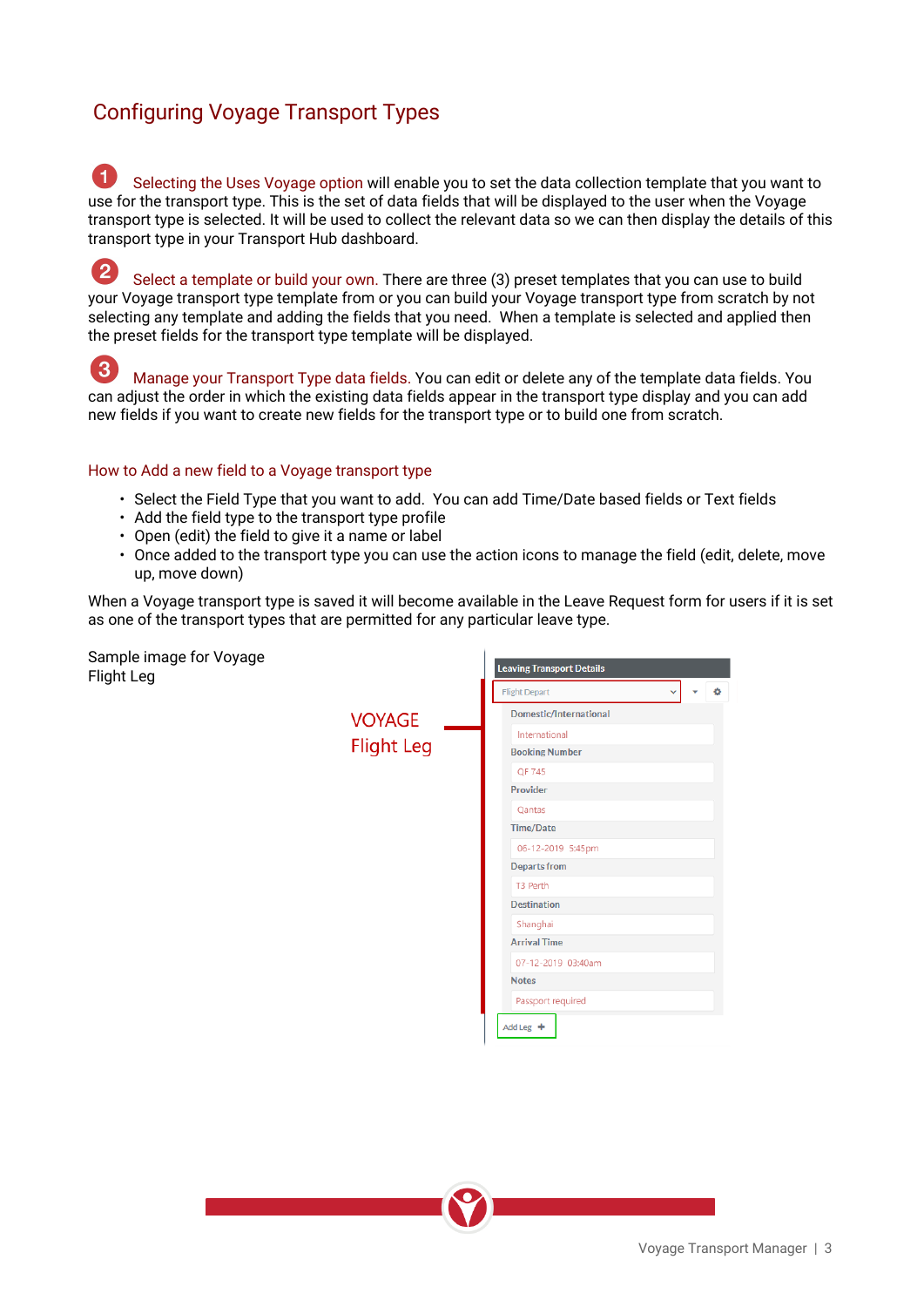### Configuring Voyage Transport Types

 $\blacksquare$  Selecting the Uses Voyage option will enable you to set the data collection template that you want to use for the transport type. This is the set of data fields that will be displayed to the user when the Voyage transport type is selected. It will be used to collect the relevant data so we can then display the details of this transport type in your Transport Hub dashboard.

 $\overline{\mathbf{2}}$  Select a template or build your own. There are three (3) preset templates that you can use to build your Voyage transport type template from or you can build your Voyage transport type from scratch by not selecting any template and adding the fields that you need. When a template is selected and applied then the preset fields for the transport type template will be displayed.

3 Manage your Transport Type data fields. You can edit or delete any of the template data fields. You can adjust the order in which the existing data fields appear in the transport type display and you can add new fields if you want to create new fields for the transport type or to build one from scratch.

#### How to Add a new field to a Voyage transport type

- Select the Field Type that you want to add. You can add Time/Date based fields or Text fields
- Add the field type to the transport type profile
- Open (edit) the field to give it a name or label
- Once added to the transport type you can use the action icons to manage the field (edit, delete, move up, move down)

When a Voyage transport type is saved it will become available in the Leave Request form for users if it is set as one of the transport types that are permitted for any particular leave type.

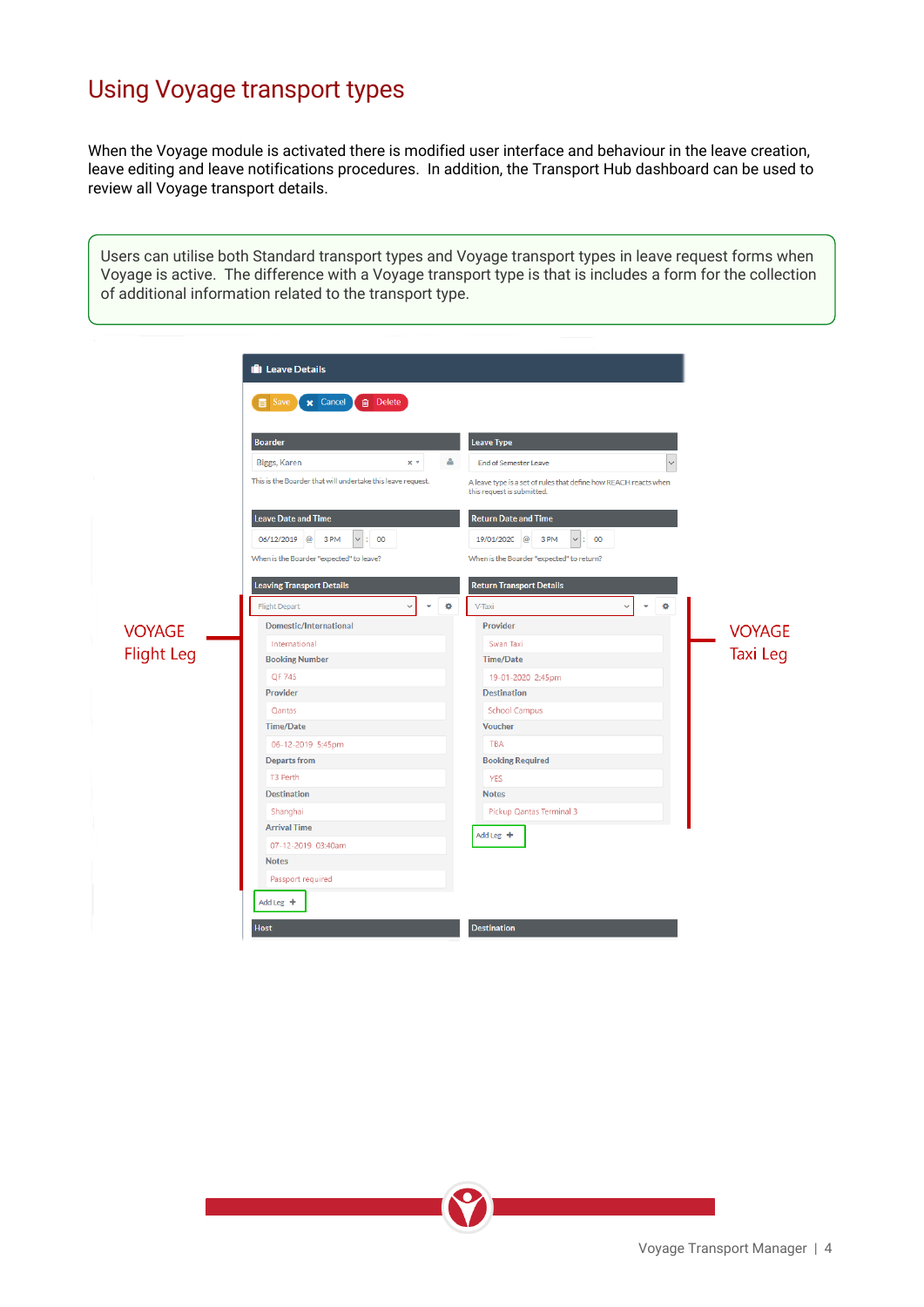# Using Voyage transport types

When the Voyage module is activated there is modified user interface and behaviour in the leave creation, leave editing and leave notifications procedures. In addition, the Transport Hub dashboard can be used to review all Voyage transport details.

Users can utilise both Standard transport types and Voyage transport types in leave request forms when Voyage is active. The difference with a Voyage transport type is that is includes a form for the collection of additional information related to the transport type.

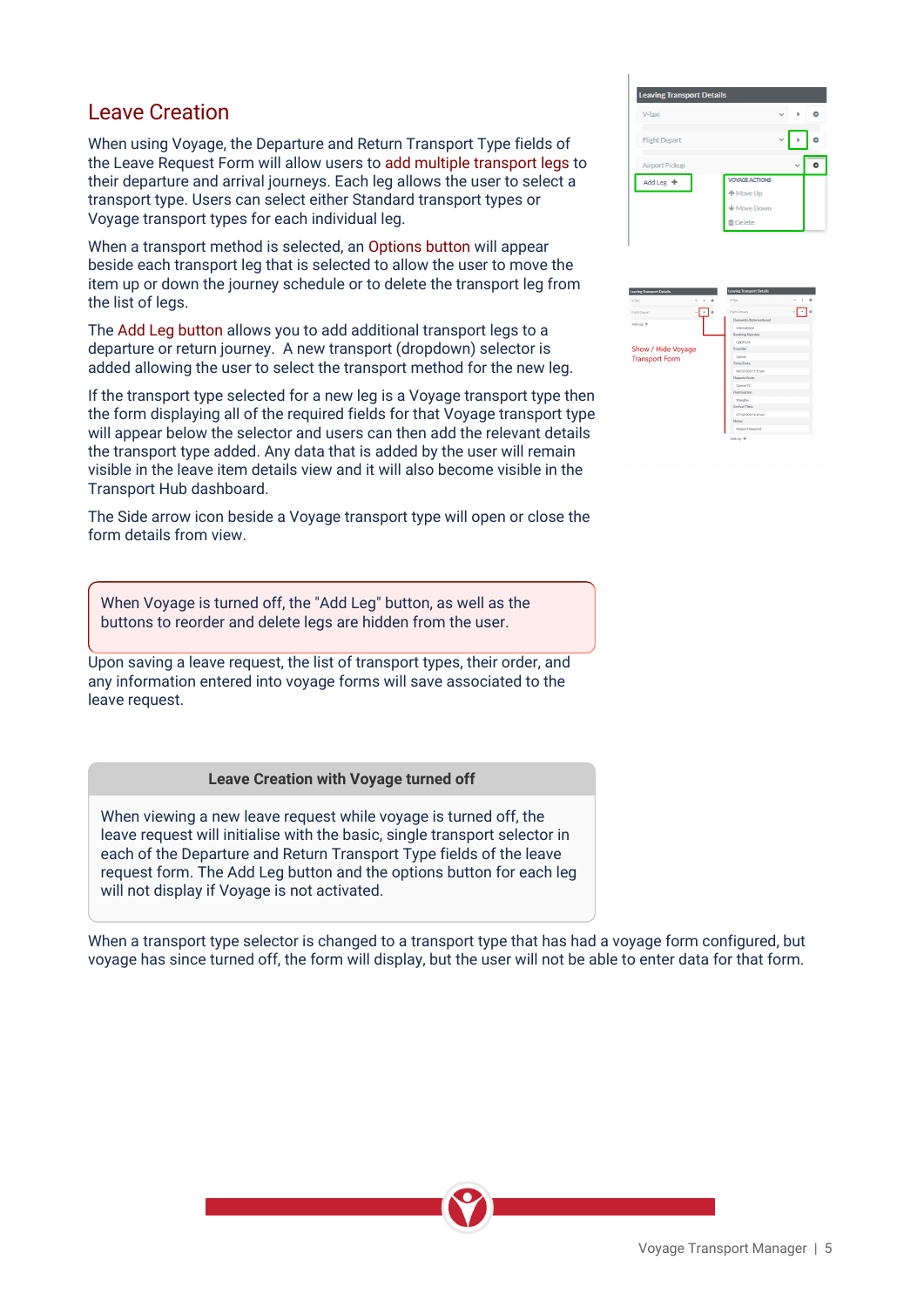### Leave Creation

When using Voyage, the Departure and Return Transport Type fields of the Leave Request Form will allow users to add multiple transport legs to their departure and arrival journeys. Each leg allows the user to select a transport type. Users can select either Standard transport types or Voyage transport types for each individual leg.

When a transport method is selected, an Options button will appear beside each transport leg that is selected to allow the user to move the item up or down the journey schedule or to delete the transport leg from the list of legs.

The Add Leg button allows you to add additional transport legs to a departure or return journey. A new transport (dropdown) selector is added allowing the user to select the transport method for the new leg.

If the transport type selected for a new leg is a Voyage transport type then the form displaying all of the required fields for that Voyage transport type will appear below the selector and users can then add the relevant details the transport type added. Any data that is added by the user will remain visible in the leave item details view and it will also become visible in the Transport Hub dashboard.

The Side arrow icon beside a Voyage transport type will open or close the form details from view.

When Voyage is turned off, the "Add Leg" button, as well as the buttons to reorder and delete legs are hidden from the user.

Upon saving a leave request, the list of transport types, their order, and any information entered into voyage forms will save associated to the leave request.

#### **Leave Creation with Voyage turned off**

When viewing a new leave request while voyage is turned off, the leave request will initialise with the basic, single transport selector in each of the Departure and Return Transport Type fields of the leave request form. The Add Leg button and the options button for each leg will not display if Voyage is not activated.

When a transport type selector is changed to a transport type that has had a voyage form configured, but voyage has since turned off, the form will display, but the user will not be able to enter data for that form.

| <b>Leaving Transport Details</b> |                       |  |   |
|----------------------------------|-----------------------|--|---|
| V-Taxi                           |                       |  |   |
| <b>Flight Depart</b>             |                       |  | ô |
| Airport Pickup                   |                       |  |   |
| Add Leg $+$                      | <b>VOYAGE ACTIONS</b> |  |   |
|                                  | ← Move Up             |  |   |
|                                  | Move Down             |  |   |
|                                  | <b>O</b> Delete       |  |   |

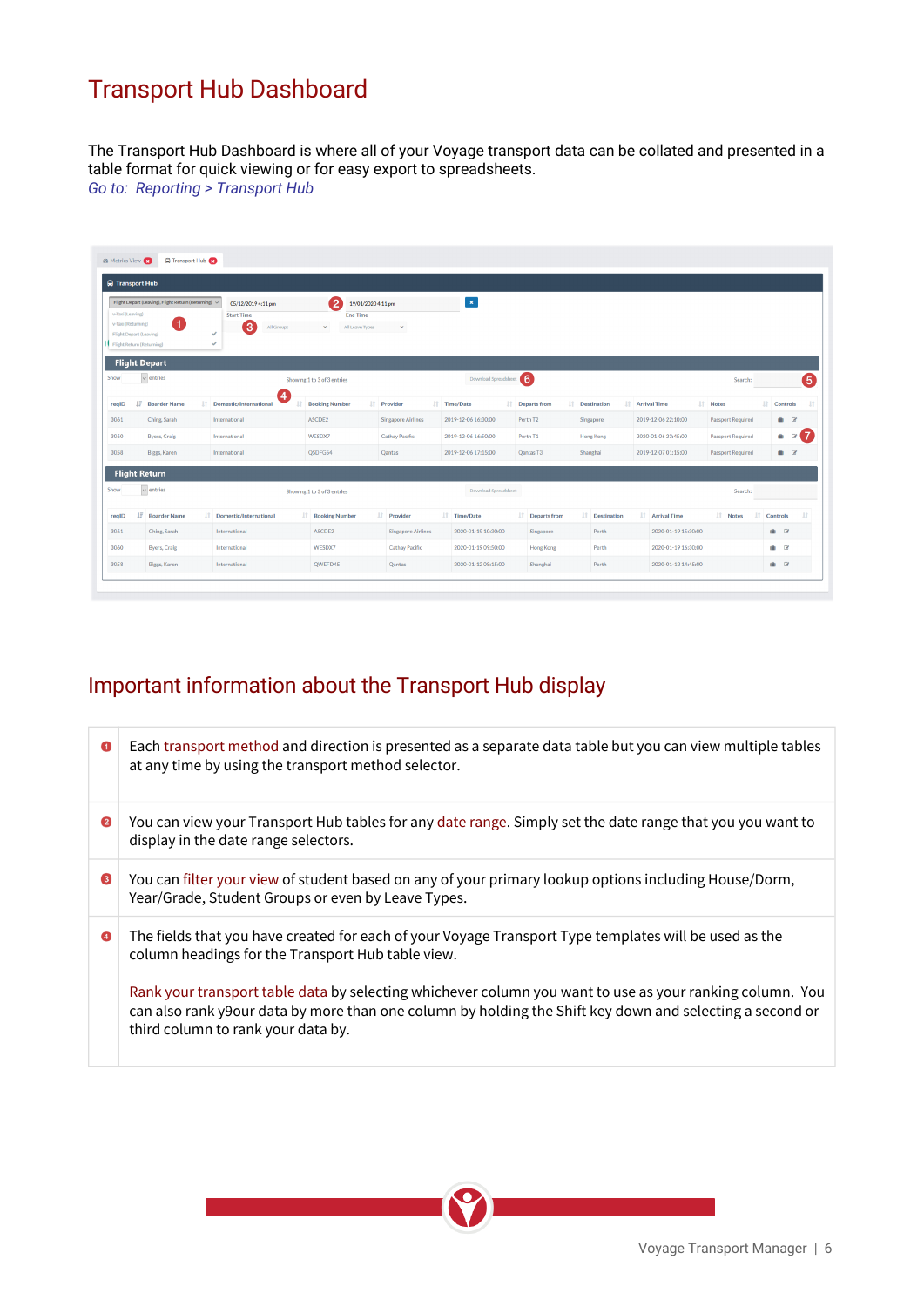# Transport Hub Dashboard

The Transport Hub Dashboard is where all of your Voyage transport data can be collated and presented in a table format for quick viewing or for easy export to spreadsheets. *Go to: Reporting > Transport Hub*

| <b>Q</b> Transport Hub                                                                         |   |                                                            |          |                                                            |                                                                                |                           |                          |                        |          |                       |                        |          |                          |                    |                |                     |
|------------------------------------------------------------------------------------------------|---|------------------------------------------------------------|----------|------------------------------------------------------------|--------------------------------------------------------------------------------|---------------------------|--------------------------|------------------------|----------|-----------------------|------------------------|----------|--------------------------|--------------------|----------------|---------------------|
| v-Taxi (Leaving)<br>v-Taxi (Returning)<br>Flight Depart (Leaving)<br>Flight Return (Returning) |   | Flight Depart (Leaving), Flight Return (Returning) <<br>(1 | ممه<br>ے | 05/12/2019 4:11 pm<br><b>Start Time</b><br>3<br>All Groups | 【2<br>19/01/2020 4:11 pm<br><b>End Time</b><br>All Leave Types<br>$\mathbf{v}$ | $\checkmark$              | $\vert \mathbf{x} \vert$ |                        |          |                       |                        |          |                          |                    |                |                     |
| Show                                                                                           |   | <b>Flight Depart</b><br>$\overline{\smile}$ entries        |          |                                                            | Showing 1 to 3 of 3 entries                                                    |                           | Download Spreadsheet     |                        |          |                       |                        |          | Search:                  |                    |                | 6                   |
| realD                                                                                          | F | <b>Boarder Name</b>                                        |          | $\overline{4}$<br>IT Domestic/International                | <b>Booking Number</b>                                                          | <b>IT</b> Provider        | IT Time/Date             | <b>If</b> Departs from |          | <b>IT</b> Destination | <b>IT</b> Arrival Time | IT Notes |                          | <b>11 Controls</b> |                |                     |
| 3061                                                                                           |   | Ching, Sarah                                               |          | International                                              | ASCDE2                                                                         | <b>Singapore Airlines</b> | 2019-12-06 16:30:00      | Perth T2               |          | Singapore             | 2019-12-06 22:10:00    |          | <b>Passport Required</b> |                    | $\blacksquare$ |                     |
| 3060                                                                                           |   | <b>Byers, Craig</b>                                        |          | International                                              | WESDX7                                                                         | <b>Cathay Pacific</b>     | 2019-12-06 16:50:00      | Perth <sub>T1</sub>    |          | <b>Hong Kong</b>      | 2020-01-06 23:45:00    |          | <b>Passport Required</b> |                    |                | $\bullet$ $\circ$ 7 |
| 3058                                                                                           |   | Biggs, Karen                                               |          | International                                              | QSDFG54                                                                        | Qantas                    | 2019-12-06 17:15:00      | Qantas T3              | Shanghai |                       | 2019-12-07 01:15:00    |          | <b>Passport Required</b> |                    | 曲区             |                     |
|                                                                                                |   | <b>Flight Return</b>                                       |          |                                                            |                                                                                |                           |                          |                        |          |                       |                        |          |                          |                    |                |                     |
| Show                                                                                           |   | $\overline{\smile}$ entries                                |          |                                                            | Showing 1 to 3 of 3 entries                                                    |                           | Download Spreadsheet     |                        |          |                       |                        |          | Search:                  |                    |                |                     |
| regID                                                                                          |   | <b>JF</b> Boarder Name                                     | Iî.      | Domestic/International                                     | <b>If Booking Number</b>                                                       | <b>IT</b> Provider        | IT Time/Date             | <b>IT</b> Departs from |          | <b>If</b> Destination | <b>IT Arrival Time</b> |          | IT Notes<br>1î           |                    | Controls       | 1î                  |
| 3061                                                                                           |   | Ching, Sarah                                               |          | International                                              | ASCDE2                                                                         | <b>Singapore Airlines</b> | 2020-01-19 10:30:00      | Singapore              |          | Perth                 | 2020-01-19 15:30:00    |          |                          |                    | $\blacksquare$ |                     |
| 3060                                                                                           |   | <b>Byers, Craig</b>                                        |          | International                                              | WESDX7                                                                         | <b>Cathay Pacific</b>     | 2020-01-19 09:50:00      | <b>Hong Kong</b>       |          | Perth                 | 2020-01-19 16:30:00    |          |                          |                    | $\blacksquare$ |                     |
| 3058                                                                                           |   | Biggs, Karen                                               |          | International                                              | QWEFD45                                                                        | Qantas                    | 2020-01-12 08:15:00      | Shanghai               |          | Perth                 | 2020-01-12 14:45:00    |          |                          |                    | $\blacksquare$ |                     |

### Important information about the Transport Hub display

| $\bullet$ | Each transport method and direction is presented as a separate data table but you can view multiple tables<br>at any time by using the transport method selector.                                                                                          |
|-----------|------------------------------------------------------------------------------------------------------------------------------------------------------------------------------------------------------------------------------------------------------------|
| 2         | You can view your Transport Hub tables for any date range. Simply set the date range that you you want to<br>display in the date range selectors.                                                                                                          |
| ❸         | You can filter your view of student based on any of your primary lookup options including House/Dorm,<br>Year/Grade, Student Groups or even by Leave Types.                                                                                                |
| ❹         | The fields that you have created for each of your Voyage Transport Type templates will be used as the<br>column headings for the Transport Hub table view.                                                                                                 |
|           | Rank your transport table data by selecting whichever column you want to use as your ranking column. You<br>can also rank y9our data by more than one column by holding the Shift key down and selecting a second or<br>third column to rank your data by. |